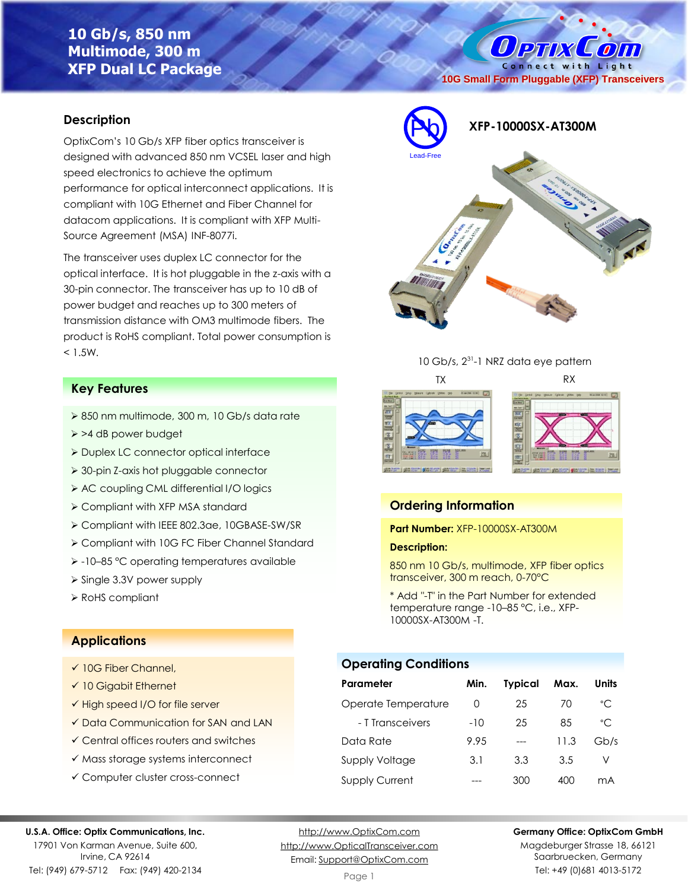# **10 Gb/s, 850 nm Multimode, 300 m XFP Dual LC Package**

Connect with Light **10G Small Form Pluggable (XFP) Transceivers**

O PTIX COM

# **Description**

OptixCom's 10 Gb/s XFP fiber optics transceiver is designed with advanced 850 nm VCSEL laser and high speed electronics to achieve the optimum performance for optical interconnect applications. It is compliant with 10G Ethernet and Fiber Channel for datacom applications. It is compliant with XFP Multi-Source Agreement (MSA) INF-8077i.

The transceiver uses duplex LC connector for the optical interface. It is hot pluggable in the z-axis with a 30-pin connector. The transceiver has up to 10 dB of power budget and reaches up to 300 meters of transmission distance with OM3 multimode fibers. The product is RoHS compliant. Total power consumption is  $< 1.5W$ .

# **Key Features**

- ➢ 850 nm multimode, 300 m, 10 Gb/s data rate
- ➢ >4 dB power budget
- ➢ Duplex LC connector optical interface
- ➢ 30-pin Z-axis hot pluggable connector
- ➢ AC coupling CML differential I/O logics
- ➢ Compliant with XFP MSA standard
- ➢ Compliant with IEEE 802.3ae, 10GBASE-SW/SR
- ➢ Compliant with 10G FC Fiber Channel Standard
- ➢ -10–85 °C operating temperatures available
- ➢ Single 3.3V power supply
- ➢ RoHS compliant

## **Applications**

- ✓ 10G Fiber Channel,
- ✓ 10 Gigabit Ethernet
- ✓ High speed I/O for file server
- ✓ Data Communication for SAN and LAN
- ✓ Central offices routers and switches
- ✓ Mass storage systems interconnect
- ✓ Computer cluster cross-connect

# Pb **XFP-10000SX-AT300M** Lead-Free





# **Ordering Information**

**Part Number:** XFP-10000SX-AT300M

### **Description:**

850 nm 10 Gb/s, multimode, XFP fiber optics transceiver, 300 m reach, 0-70°C

\* Add "-T" in the Part Number for extended temperature range -10–85 °C, i.e., XFP-10000SX-AT300M -T.

### **Operating Conditions**

| Parameter             | Min.  | <b>Typical</b> | Max. | Units        |
|-----------------------|-------|----------------|------|--------------|
| Operate Temperature   | 0     | 25             | 70   | °C           |
| - T Transceivers      | $-10$ | 25             | 85   | $^{\circ}$ C |
| Data Rate             | 9.95  |                | 11.3 | Gb/s         |
| Supply Voltage        | 3.1   | 3.3            | 3.5  | V            |
| <b>Supply Current</b> |       | 300            | 400  | mА           |

### **U.S.A. Office: Optix Communications, Inc.**

17901 Von Karman Avenue, Suite 600, Irvine, CA 92614 Tel: (949) 679-5712 Fax: (949) 420-2134

[http://www.OptixCom.com](http://www.optixcom.com/) [http://www.OpticalTransceiver.com](http://www.optoictech.com/) Email: [Support@OptixCom.com](mailto:Support@optoICtech.com)

### **Germany Office: OptixCom GmbH**

Magdeburger Strasse 18, 66121 Saarbruecken, Germany Tel: +49 (0)681 4013-5172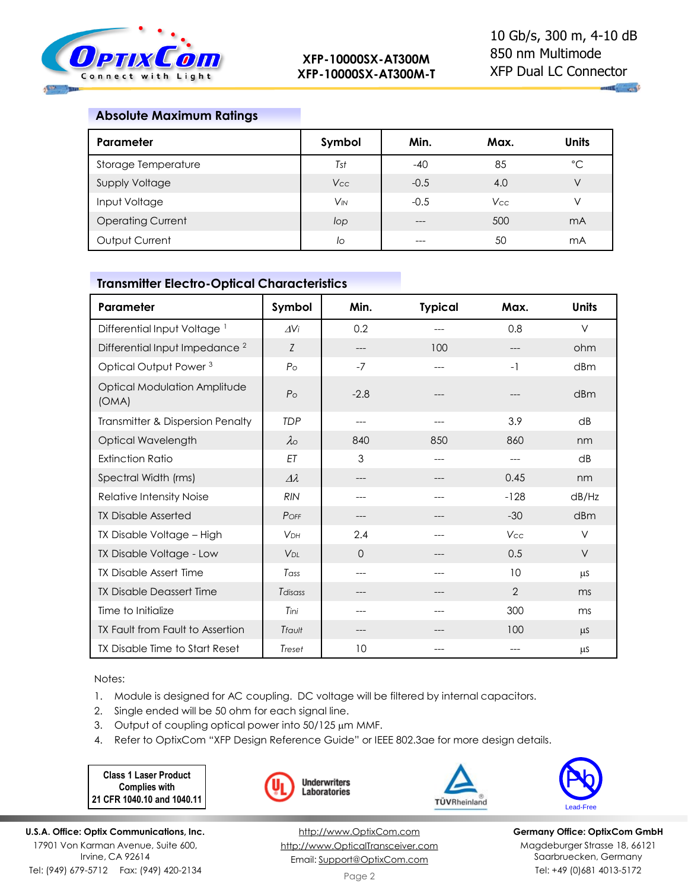

# **Absolute Maximum Ratings**

| Parameter                | Symbol                | Min.   | Max.       | <b>Units</b>   |
|--------------------------|-----------------------|--------|------------|----------------|
| Storage Temperature      | Tst                   | $-40$  | 85         | $^{\circ}$ C   |
| <b>Supply Voltage</b>    | <b>Vcc</b>            | $-0.5$ | 4.0        | V              |
| Input Voltage            | <b>V<sub>IN</sub></b> | $-0.5$ | <b>Vcc</b> | V              |
| <b>Operating Current</b> | lop                   | $---$  | 500        | m <sub>A</sub> |
| Output Current           | lo                    | ---    | 50         | mA             |

# **Transmitter Electro-Optical Characteristics**

| Parameter                                    | Symbol            | Min.     | <b>Typical</b> | Max.           | <b>Units</b> |
|----------------------------------------------|-------------------|----------|----------------|----------------|--------------|
| Differential Input Voltage <sup>1</sup>      | $\Delta$ Vi       | 0.2      | ---            | 0.8            | $\vee$       |
| Differential Input Impedance <sup>2</sup>    | Z                 | ---      | 100            |                | ohm          |
| Optical Output Power <sup>3</sup>            | $P_{\rm O}$       | $-7$     | ---            | $-1$           | dBm          |
| <b>Optical Modulation Amplitude</b><br>(OMA) | P <sub>o</sub>    | $-2.8$   |                |                | dBm          |
| Transmitter & Dispersion Penalty             | <b>TDP</b>        | ---      | ---            | 3.9            | dB           |
| Optical Wavelength                           | $\lambda_{\rm O}$ | 840      | 850            | 860            | nm           |
| <b>Extinction Ratio</b>                      | ET                | 3        | ---            | $---$          | dB           |
| Spectral Width (rms)                         | $\Delta\lambda$   | ---      | ---            | 0.45           | nm           |
| Relative Intensity Noise                     | <b>RIN</b>        | ---      |                | $-128$         | dB/Hz        |
| <b>TX Disable Asserted</b>                   | POFF              | ---      |                | $-30$          | dBm          |
| TX Disable Voltage - High                    | <b>VDH</b>        | 2.4      | ---            | Vcc            | V            |
| TX Disable Voltage - Low                     | V <sub>DL</sub>   | $\Omega$ |                | 0.5            | $\vee$       |
| <b>TX Disable Assert Time</b>                | Tass              | ---      | ---            | 10             | <b>LLS</b>   |
| <b>TX Disable Deassert Time</b>              | Tdisass           | ---      | ---            | $\overline{2}$ | ms           |
| Time to Initialize                           | Tini              | ---      | ---            | 300            | ms           |
| TX Fault from Fault to Assertion             | Tfault            | ---      |                | 100            | $\mu$ S      |
| TX Disable Time to Start Reset               | Treset            | 10       |                |                | μS           |

Notes:

1. Module is designed for AC coupling. DC voltage will be filtered by internal capacitors.

- 2. Single ended will be 50 ohm for each signal line.
- 3. Output of coupling optical power into 50/125 µm MMF.
- 4. Refer to OptixCom "XFP Design Reference Guide" or IEEE 802.3ae for more design details.

**Class 1 Laser Product Complies with 21 CFR 1040.10 and 1040.11**







**U.S.A. Office: Optix Communications, Inc.** 17901 Von Karman Avenue, Suite 600, Irvine, CA 92614 Tel: (949) 679-5712 Fax: (949) 420-2134

[http://www.OptixCom.com](http://www.optixcom.com/) [http://www.OpticalTransceiver.com](http://www.optoictech.com/) Email: [Support@OptixCom.com](mailto:Support@optoICtech.com)

**Germany Office: OptixCom GmbH** Magdeburger Strasse 18, 66121 Saarbruecken, Germany Tel: +49 (0)681 4013-5172